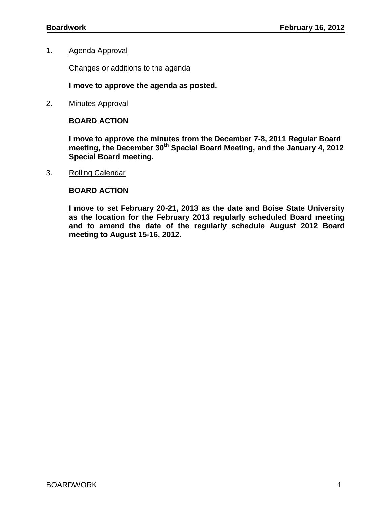# 1. Agenda Approval

Changes or additions to the agenda

# **I move to approve the agenda as posted.**

2. Minutes Approval

# **BOARD ACTION**

**I move to approve the minutes from the December 7-8, 2011 Regular Board meeting, the December 30th Special Board Meeting, and the January 4, 2012 Special Board meeting.**

3. Rolling Calendar

# **BOARD ACTION**

**I move to set February 20-21, 2013 as the date and Boise State University as the location for the February 2013 regularly scheduled Board meeting and to amend the date of the regularly schedule August 2012 Board meeting to August 15-16, 2012.**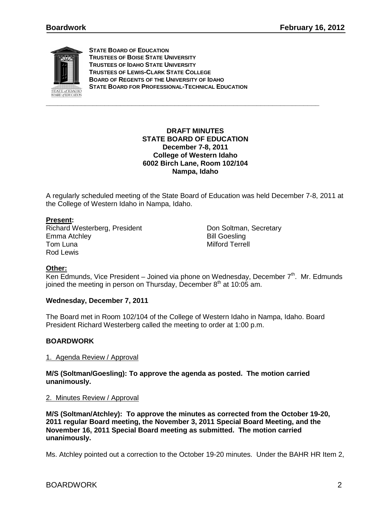

**STATE BOARD OF EDUCATION TRUSTEES OF BOISE STATE UNIVERSITY TRUSTEES OF IDAHO STATE UNIVERSITY TRUSTEES OF LEWIS-CLARK STATE COLLEGE BOARD OF REGENTS OF THE UNIVERSITY OF IDAHO STATE BOARD FOR PROFESSIONAL-TECHNICAL EDUCATION**

## **DRAFT MINUTES STATE BOARD OF EDUCATION December 7-8, 2011 College of Western Idaho 6002 Birch Lane, Room 102/104 Nampa, Idaho**

A regularly scheduled meeting of the State Board of Education was held December 7-8, 2011 at the College of Western Idaho in Nampa, Idaho.

# **Present :**

Richard Westerberg, President **Don Soltman**, Secretary Emma Atchley **Bill Goesling** Tom Luna **Milford Terrell** Rod Lewis

# **Other:**

Ken Edmunds, Vice President – Joined via phone on Wednesday, December 7<sup>th</sup>. Mr. Edmunds joined the meeting in person on Thursday, December  $8<sup>th</sup>$  at 10:05 am.

# **Wednesday, December 7, 2011**

The Board met in Room 102/104 of the College of Western Idaho in Nampa, Idaho. Board President Richard Westerberg called the meeting to order at 1:00 p.m.

# **BOARDWORK**

# 1. Agenda Review / Approval

**M/S (Soltman/Goesling): To approve the agenda as posted. The motion carried unanimously.** 

# 2. Minutes Review / Approval

**M/S (Soltman/Atchley): To approve the minutes as corrected from the October 19-20, 2011 regular Board meeting, the November 3, 2011 Special Board Meeting, and the November 16, 2011 Special Board meeting as submitted. The motion carried unanimously.** 

Ms. Atchley pointed out a correction to the October 19-20 minutes. Under the BAHR HR Item 2,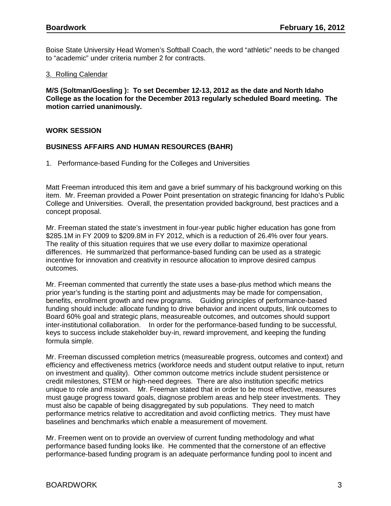Boise State University Head Women's Softball Coach, the word "athletic" needs to be changed to "academic" under criteria number 2 for contracts.

#### 3. Rolling Calendar

**M/S (Soltman/Goesling ): To set December 12-13, 2012 as the date and North Idaho College as the location for the December 2013 regularly scheduled Board meeting. The motion carried unanimously.**

### **WORK SESSION**

### **BUSINESS AFFAIRS AND HUMAN RESOURCES (BAHR)**

1. Performance-based Funding for the Colleges and Universities

Matt Freeman introduced this item and gave a brief summary of his background working on this item. Mr. Freeman provided a Power Point presentation on strategic financing for Idaho's Public College and Universities. Overall, the presentation provided background, best practices and a concept proposal.

Mr. Freeman stated the state's investment in four-year public higher education has gone from \$285.1M in FY 2009 to \$209.8M in FY 2012, which is a reduction of 26.4% over four years. The reality of this situation requires that we use every dollar to maximize operational differences. He summarized that performance-based funding can be used as a strategic incentive for innovation and creativity in resource allocation to improve desired campus outcomes.

Mr. Freeman commented that currently the state uses a base-plus method which means the prior year's funding is the starting point and adjustments may be made for compensation, benefits, enrollment growth and new programs. Guiding principles of performance-based funding should include: allocate funding to drive behavior and incent outputs, link outcomes to Board 60% goal and strategic plans, measureable outcomes, and outcomes should support inter-institutional collaboration. In order for the performance-based funding to be successful, keys to success include stakeholder buy-in, reward improvement, and keeping the funding formula simple.

Mr. Freeman discussed completion metrics (measureable progress, outcomes and context) and efficiency and effectiveness metrics (workforce needs and student output relative to input, return on investment and quality). Other common outcome metrics include student persistence or credit milestones, STEM or high-need degrees. There are also institution specific metrics unique to role and mission. Mr. Freeman stated that in order to be most effective, measures must gauge progress toward goals, diagnose problem areas and help steer investments. They must also be capable of being disaggregated by sub populations. They need to match performance metrics relative to accreditation and avoid conflicting metrics. They must have baselines and benchmarks which enable a measurement of movement.

Mr. Freemen went on to provide an overview of current funding methodology and what performance based funding looks like. He commented that the cornerstone of an effective performance-based funding program is an adequate performance funding pool to incent and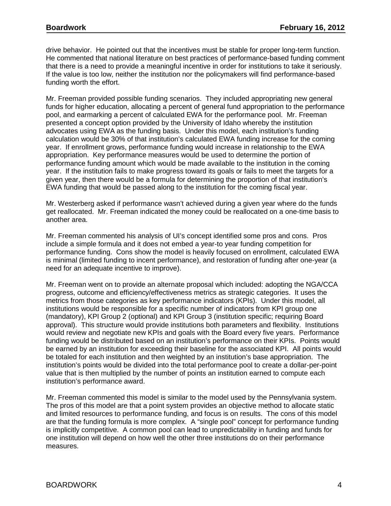drive behavior. He pointed out that the incentives must be stable for proper long-term function. He commented that national literature on best practices of performance-based funding comment that there is a need to provide a meaningful incentive in order for institutions to take it seriously. If the value is too low, neither the institution nor the policymakers will find performance-based funding worth the effort.

Mr. Freeman provided possible funding scenarios. They included appropriating new general funds for higher education, allocating a percent of general fund appropriation to the performance pool, and earmarking a percent of calculated EWA for the performance pool. Mr. Freeman presented a concept option provided by the University of Idaho whereby the institution advocates using EWA as the funding basis. Under this model, each institution's funding calculation would be 30% of that institution's calculated EWA funding increase for the coming year. If enrollment grows, performance funding would increase in relationship to the EWA appropriation. Key performance measures would be used to determine the portion of performance funding amount which would be made available to the institution in the coming year. If the institution fails to make progress toward its goals or fails to meet the targets for a given year, then there would be a formula for determining the proportion of that institution's EWA funding that would be passed along to the institution for the coming fiscal year.

Mr. Westerberg asked if performance wasn't achieved during a given year where do the funds get reallocated. Mr. Freeman indicated the money could be reallocated on a one-time basis to another area.

Mr. Freeman commented his analysis of UI's concept identified some pros and cons. Pros include a simple formula and it does not embed a year-to year funding competition for performance funding. Cons show the model is heavily focused on enrollment, calculated EWA is minimal (limited funding to incent performance), and restoration of funding after one-year (a need for an adequate incentive to improve).

Mr. Freeman went on to provide an alternate proposal which included: adopting the NGA/CCA progress, outcome and efficiency/effectiveness metrics as strategic categories. It uses the metrics from those categories as key performance indicators (KPIs). Under this model, all institutions would be responsible for a specific number of indicators from KPI group one (mandatory), KPI Group 2 (optional) and KPI Group 3 (institution specific; requiring Board approval). This structure would provide institutions both parameters and flexibility. Institutions would review and negotiate new KPIs and goals with the Board every five years. Performance funding would be distributed based on an institution's performance on their KPIs. Points would be earned by an institution for exceeding their baseline for the associated KPI. All points would be totaled for each institution and then weighted by an institution's base appropriation. The institution's points would be divided into the total performance pool to create a dollar-per-point value that is then multiplied by the number of points an institution earned to compute each institution's performance award.

Mr. Freeman commented this model is similar to the model used by the Pennsylvania system. The pros of this model are that a point system provides an objective method to allocate static and limited resources to performance funding, and focus is on results. The cons of this model are that the funding formula is more complex. A "single pool" concept for performance funding is implicitly competitive. A common pool can lead to unpredictability in funding and funds for one institution will depend on how well the other three institutions do on their performance measures.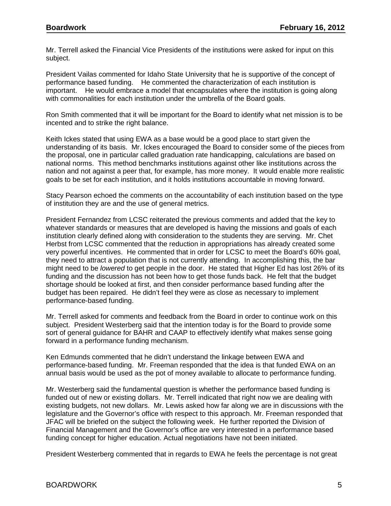Mr. Terrell asked the Financial Vice Presidents of the institutions were asked for input on this subject.

President Vailas commented for Idaho State University that he is supportive of the concept of performance based funding. He commented the characterization of each institution is important. He would embrace a model that encapsulates where the institution is going along with commonalities for each institution under the umbrella of the Board goals.

Ron Smith commented that it will be important for the Board to identify what net mission is to be incented and to strike the right balance.

Keith Ickes stated that using EWA as a base would be a good place to start given the understanding of its basis. Mr. Ickes encouraged the Board to consider some of the pieces from the proposal, one in particular called graduation rate handicapping, calculations are based on national norms. This method benchmarks institutions against other like institutions across the nation and not against a peer that, for example, has more money. It would enable more realistic goals to be set for each institution, and it holds institutions accountable in moving forward.

Stacy Pearson echoed the comments on the accountability of each institution based on the type of institution they are and the use of general metrics.

President Fernandez from LCSC reiterated the previous comments and added that the key to whatever standards or measures that are developed is having the missions and goals of each institution clearly defined along with consideration to the students they are serving. Mr. Chet Herbst from LCSC commented that the reduction in appropriations has already created some very powerful incentives. He commented that in order for LCSC to meet the Board's 60% goal, they need to attract a population that is not currently attending. In accomplishing this, the bar might need to be *lowered* to get people in the door. He stated that Higher Ed has lost 26% of its funding and the discussion has not been how to get those funds back. He felt that the budget shortage should be looked at first, and then consider performance based funding after the budget has been repaired. He didn't feel they were as close as necessary to implement performance-based funding.

Mr. Terrell asked for comments and feedback from the Board in order to continue work on this subject. President Westerberg said that the intention today is for the Board to provide some sort of general guidance for BAHR and CAAP to effectively identify what makes sense going forward in a performance funding mechanism.

Ken Edmunds commented that he didn't understand the linkage between EWA and performance-based funding. Mr. Freeman responded that the idea is that funded EWA on an annual basis would be used as the pot of money available to allocate to performance funding.

Mr. Westerberg said the fundamental question is whether the performance based funding is funded out of new or existing dollars. Mr. Terrell indicated that right now we are dealing with existing budgets, not new dollars. Mr. Lewis asked how far along we are in discussions with the legislature and the Governor's office with respect to this approach. Mr. Freeman responded that JFAC will be briefed on the subject the following week. He further reported the Division of Financial Management and the Governor's office are very interested in a performance based funding concept for higher education. Actual negotiations have not been initiated.

President Westerberg commented that in regards to EWA he feels the percentage is not great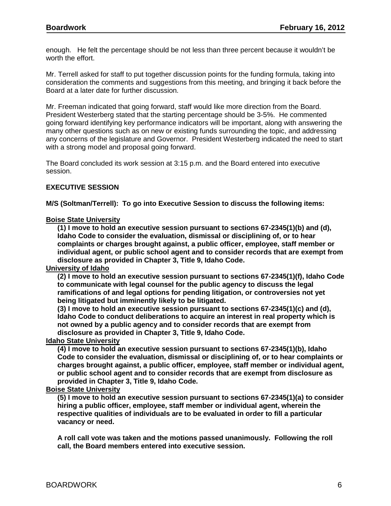enough. He felt the percentage should be not less than three percent because it wouldn't be worth the effort.

Mr. Terrell asked for staff to put together discussion points for the funding formula, taking into consideration the comments and suggestions from this meeting, and bringing it back before the Board at a later date for further discussion.

Mr. Freeman indicated that going forward, staff would like more direction from the Board. President Westerberg stated that the starting percentage should be 3-5%. He commented going forward identifying key performance indicators will be important, along with answering the many other questions such as on new or existing funds surrounding the topic, and addressing any concerns of the legislature and Governor. President Westerberg indicated the need to start with a strong model and proposal going forward.

The Board concluded its work session at 3:15 p.m. and the Board entered into executive session.

### **EXECUTIVE SESSION**

**M/S (Soltman/Terrell): To go into Executive Session to discuss the following items:**

#### **Boise State University**

**(1) I move to hold an executive session pursuant to sections 67-2345(1)(b) and (d), Idaho Code to consider the evaluation, dismissal or disciplining of, or to hear complaints or charges brought against, a public officer, employee, staff member or individual agent, or public school agent and to consider records that are exempt from disclosure as provided in Chapter 3, Title 9, Idaho Code.**

#### **University of Idaho**

**(2) I move to hold an executive session pursuant to sections 67-2345(1)(f), Idaho Code to communicate with legal counsel for the public agency to discuss the legal ramifications of and legal options for pending litigation, or controversies not yet being litigated but imminently likely to be litigated.** 

**(3) I move to hold an executive session pursuant to sections 67-2345(1)(c) and (d), Idaho Code to conduct deliberations to acquire an interest in real property which is not owned by a public agency and to consider records that are exempt from disclosure as provided in Chapter 3, Title 9, Idaho Code.**

### **Idaho State University**

**(4) I move to hold an executive session pursuant to sections 67-2345(1)(b), Idaho Code to consider the evaluation, dismissal or disciplining of, or to hear complaints or charges brought against, a public officer, employee, staff member or individual agent, or public school agent and to consider records that are exempt from disclosure as provided in Chapter 3, Title 9, Idaho Code.**

#### **Boise State University**

**(5) I move to hold an executive session pursuant to sections 67-2345(1)(a) to consider hiring a public officer, employee, staff member or individual agent, wherein the respective qualities of individuals are to be evaluated in order to fill a particular vacancy or need.**

**A roll call vote was taken and the motions passed unanimously. Following the roll call, the Board members entered into executive session.**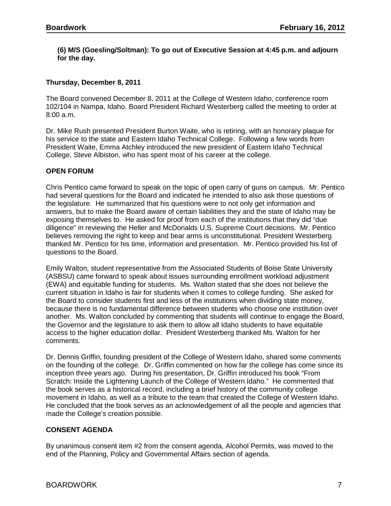## **(6) M/S (Goesling/Soltman): To go out of Executive Session at 4:45 p.m. and adjourn for the day.**

# **Thursday, December 8, 2011**

The Board convened December 8, 2011 at the College of Western Idaho, conference room 102/104 in Nampa, Idaho. Board President Richard Westerberg called the meeting to order at 8:00 a.m.

Dr. Mike Rush presented President Burton Waite, who is retiring, with an honorary plaque for his service to the state and Eastern Idaho Technical College. Following a few words from President Waite, Emma Atchley introduced the new president of Eastern Idaho Technical College, Steve Albiston, who has spent most of his career at the college.

### **OPEN FORUM**

Chris Pentico came forward to speak on the topic of open carry of guns on campus. Mr. Pentico had several questions for the Board and indicated he intended to also ask those questions of the legislature. He summarized that his questions were to not only get information and answers, but to make the Board aware of certain liabilities they and the state of Idaho may be exposing themselves to. He asked for proof from each of the institutions that they did "due diligence" in reviewing the Heller and McDonalds U.S. Supreme Court decisions. Mr. Pentico believes removing the right to keep and bear arms is unconstitutional. President Westerberg thanked Mr. Pentico for his time, information and presentation. Mr. Pentico provided his list of questions to the Board.

Emily Walton, student representative from the Associated Students of Boise State University (ASBSU) came forward to speak about issues surrounding enrollment workload adjustment (EWA) and equitable funding for students. Ms. Walton stated that she does not believe the current situation in Idaho is fair for students when it comes to college funding. She asked for the Board to consider students first and less of the institutions when dividing state money, because there is no fundamental difference between students who choose one institution over another. Ms. Walton concluded by commenting that students will continue to engage the Board, the Governor and the legislature to ask them to allow all Idaho students to have equitable access to the higher education dollar. President Westerberg thanked Ms. Walton for her comments.

Dr. Dennis Griffin, founding president of the College of Western Idaho, shared some comments on the founding of the college. Dr. Griffin commented on how far the college has come since its inception three years ago. During his presentation, Dr. Griffin introduced his book "From Scratch: Inside the Lightening Launch of the College of Western Idaho." He commented that the book serves as a historical record, including a brief history of the community college movement in Idaho, as well as a tribute to the team that created the College of Western Idaho. He concluded that the book serves as an acknowledgement of all the people and agencies that made the College's creation possible.

# **CONSENT AGENDA**

By unanimous consent item #2 from the consent agenda, Alcohol Permits, was moved to the end of the Planning, Policy and Governmental Affairs section of agenda.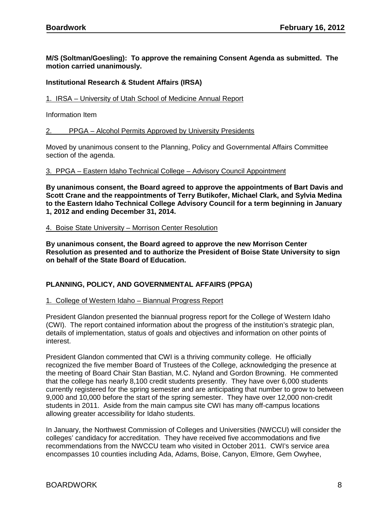**M/S (Soltman/Goesling): To approve the remaining Consent Agenda as submitted. The motion carried unanimously.**

### **Institutional Research & Student Affairs (IRSA)**

#### 1. IRSA – University of Utah School of Medicine Annual Report

Information Item

#### 2. PPGA – Alcohol Permits Approved by University Presidents

Moved by unanimous consent to the Planning, Policy and Governmental Affairs Committee section of the agenda.

#### 3. PPGA – Eastern Idaho Technical College – Advisory Council Appointment

**By unanimous consent, the Board agreed to approve the appointments of Bart Davis and Scott Crane and the reappointments of Terry Butikofer, Michael Clark, and Sylvia Medina to the Eastern Idaho Technical College Advisory Council for a term beginning in January 1, 2012 and ending December 31, 2014.** 

#### 4. Boise State University – Morrison Center Resolution

**By unanimous consent, the Board agreed to approve the new Morrison Center Resolution as presented and to authorize the President of Boise State University to sign on behalf of the State Board of Education.** 

# **PLANNING, POLICY, AND GOVERNMENTAL AFFAIRS (PPGA)**

#### 1. College of Western Idaho – Biannual Progress Report

President Glandon presented the biannual progress report for the College of Western Idaho (CWI). The report contained information about the progress of the institution's strategic plan, details of implementation, status of goals and objectives and information on other points of interest.

President Glandon commented that CWI is a thriving community college. He officially recognized the five member Board of Trustees of the College, acknowledging the presence at the meeting of Board Chair Stan Bastian, M.C. Nyland and Gordon Browning. He commented that the college has nearly 8,100 credit students presently. They have over 6,000 students currently registered for the spring semester and are anticipating that number to grow to between 9,000 and 10,000 before the start of the spring semester. They have over 12,000 non-credit students in 2011. Aside from the main campus site CWI has many off-campus locations allowing greater accessibility for Idaho students.

In January, the Northwest Commission of Colleges and Universities (NWCCU) will consider the colleges' candidacy for accreditation. They have received five accommodations and five recommendations from the NWCCU team who visited in October 2011. CWI's service area encompasses 10 counties including Ada, Adams, Boise, Canyon, Elmore, Gem Owyhee,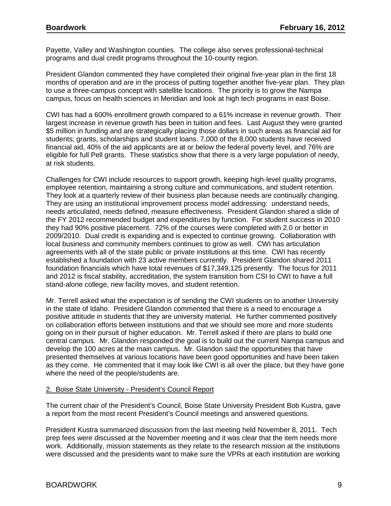Payette, Valley and Washington counties. The college also serves professional-technical programs and dual credit programs throughout the 10-county region.

President Glandon commented they have completed their original five-year plan in the first 18 months of operation and are in the process of putting together another five-year plan. They plan to use a three-campus concept with satellite locations. The priority is to grow the Nampa campus, focus on health sciences in Meridian and look at high tech programs in east Boise.

CWI has had a 600% enrollment growth compared to a 61% increase in revenue growth. Their largest increase in revenue growth has been in tuition and fees. Last August they were granted \$5 million in funding and are strategically placing those dollars in such areas as financial aid for students; grants, scholarships and student loans. 7,000 of the 8,000 students have received financial aid, 40% of the aid applicants are at or below the federal poverty level, and 76% are eligible for full Pell grants. These statistics show that there is a very large population of needy, at risk students.

Challenges for CWI include resources to support growth, keeping high-level quality programs, employee retention, maintaining a strong culture and communications, and student retention. They look at a quarterly review of their business plan because needs are continually changing. They are using an institutional improvement process model addressing: understand needs, needs articulated, needs defined, measure effectiveness. President Glandon shared a slide of the FY 2012 recommended budget and expenditures by function. For student success in 2010 they had 90% positive placement. 72% of the courses were completed with 2.0 or better in 2009/2010. Dual credit is expanding and is expected to continue growing. Collaboration with local business and community members continues to grow as well. CWI has articulation agreements with all of the state public or private institutions at this time. CWI has recently established a foundation with 23 active members currently. President Glandon shared 2011 foundation financials which have total revenues of \$17,349,125 presently. The focus for 2011 and 2012 is fiscal stability, accreditation, the system transition from CSI to CWI to have a full stand-alone college, new facility moves, and student retention.

Mr. Terrell asked what the expectation is of sending the CWI students on to another University in the state of Idaho. President Glandon commented that there is a need to encourage a positive attitude in students that they are university material. He further commented positively on collaboration efforts between institutions and that we should see more and more students going on in their pursuit of higher education. Mr. Terrell asked if there are plans to build one central campus. Mr. Glandon responded the goal is to build out the current Nampa campus and develop the 100 acres at the main campus. Mr. Glandon said the opportunities that have presented themselves at various locations have been good opportunities and have been taken as they come. He commented that it may look like CWI is all over the place, but they have gone where the need of the people/students are.

#### 2. Boise State University - President's Council Report

The current chair of the President's Council, Boise State University President Bob Kustra, gave a report from the most recent President's Council meetings and answered questions.

President Kustra summarized discussion from the last meeting held November 8, 2011. Tech prep fees were discussed at the November meeting and it was clear that the item needs more work. Additionally, mission statements as they relate to the research mission at the institutions were discussed and the presidents want to make sure the VPRs at each institution are working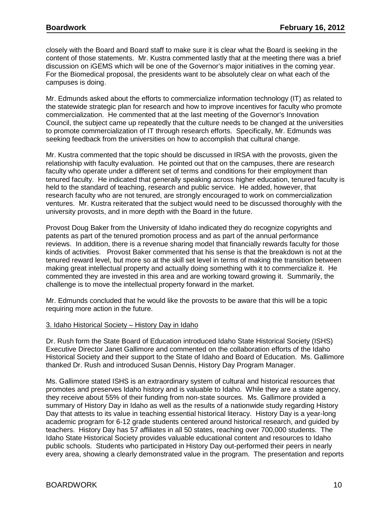closely with the Board and Board staff to make sure it is clear what the Board is seeking in the content of those statements. Mr. Kustra commented lastly that at the meeting there was a brief discussion on iGEMS which will be one of the Governor's major initiatives in the coming year. For the Biomedical proposal, the presidents want to be absolutely clear on what each of the campuses is doing.

Mr. Edmunds asked about the efforts to commercialize information technology (IT) as related to the statewide strategic plan for research and how to improve incentives for faculty who promote commercialization. He commented that at the last meeting of the Governor's Innovation Council, the subject came up repeatedly that the culture needs to be changed at the universities to promote commercialization of IT through research efforts. Specifically, Mr. Edmunds was seeking feedback from the universities on how to accomplish that cultural change.

Mr. Kustra commented that the topic should be discussed in IRSA with the provosts, given the relationship with faculty evaluation. He pointed out that on the campuses, there are research faculty who operate under a different set of terms and conditions for their employment than tenured faculty. He indicated that generally speaking across higher education, tenured faculty is held to the standard of teaching, research and public service. He added, however, that research faculty who are not tenured, are strongly encouraged to work on commercialization ventures. Mr. Kustra reiterated that the subject would need to be discussed thoroughly with the university provosts, and in more depth with the Board in the future.

Provost Doug Baker from the University of Idaho indicated they do recognize copyrights and patents as part of the tenured promotion process and as part of the annual performance reviews. In addition, there is a revenue sharing model that financially rewards faculty for those kinds of activities. Provost Baker commented that his sense is that the breakdown is not at the tenured reward level, but more so at the skill set level in terms of making the transition between making great intellectual property and actually doing something with it to commercialize it. He commented they are invested in this area and are working toward growing it. Summarily, the challenge is to move the intellectual property forward in the market.

Mr. Edmunds concluded that he would like the provosts to be aware that this will be a topic requiring more action in the future.

# 3. Idaho Historical Society – History Day in Idaho

Dr. Rush form the State Board of Education introduced Idaho State Historical Society (ISHS) Executive Director Janet Gallimore and commented on the collaboration efforts of the Idaho Historical Society and their support to the State of Idaho and Board of Education. Ms. Gallimore thanked Dr. Rush and introduced Susan Dennis, History Day Program Manager.

Ms. Gallimore stated ISHS is an extraordinary system of cultural and historical resources that promotes and preserves Idaho history and is valuable to Idaho. While they are a state agency, they receive about 55% of their funding from non-state sources. Ms. Gallimore provided a summary of History Day in Idaho as well as the results of a nationwide study regarding History Day that attests to its value in teaching essential historical literacy. History Day is a year-long academic program for 6-12 grade students centered around historical research, and guided by teachers. History Day has 57 affiliates in all 50 states, reaching over 700,000 students. The Idaho State Historical Society provides valuable educational content and resources to Idaho public schools. Students who participated in History Day out-performed their peers in nearly every area, showing a clearly demonstrated value in the program. The presentation and reports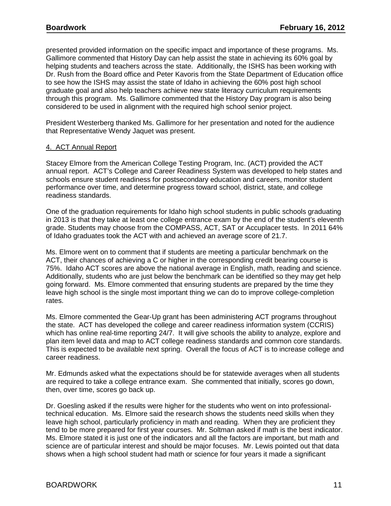presented provided information on the specific impact and importance of these programs. Ms. Gallimore commented that History Day can help assist the state in achieving its 60% goal by helping students and teachers across the state. Additionally, the ISHS has been working with Dr. Rush from the Board office and Peter Kavoris from the State Department of Education office to see how the ISHS may assist the state of Idaho in achieving the 60% post high school graduate goal and also help teachers achieve new state literacy curriculum requirements through this program. Ms. Gallimore commented that the History Day program is also being considered to be used in alignment with the required high school senior project.

President Westerberg thanked Ms. Gallimore for her presentation and noted for the audience that Representative Wendy Jaquet was present.

# 4. ACT Annual Report

Stacey Elmore from the American College Testing Program, Inc. (ACT) provided the ACT annual report. ACT's College and Career Readiness System was developed to help states and schools ensure student readiness for postsecondary education and careers, monitor student performance over time, and determine progress toward school, district, state, and college readiness standards.

One of the graduation requirements for Idaho high school students in public schools graduating in 2013 is that they take at least one college entrance exam by the end of the student's eleventh grade. Students may choose from the COMPASS, ACT, SAT or Accuplacer tests. In 2011 64% of Idaho graduates took the ACT with and achieved an average score of 21.7.

Ms. Elmore went on to comment that if students are meeting a particular benchmark on the ACT, their chances of achieving a C or higher in the corresponding credit bearing course is 75%. Idaho ACT scores are above the national average in English, math, reading and science. Additionally, students who are just below the benchmark can be identified so they may get help going forward. Ms. Elmore commented that ensuring students are prepared by the time they leave high school is the single most important thing we can do to improve college‐completion rates.

Ms. Elmore commented the Gear-Up grant has been administering ACT programs throughout the state. ACT has developed the college and career readiness information system (CCRIS) which has online real-time reporting 24/7. It will give schools the ability to analyze, explore and plan item level data and map to ACT college readiness standards and common core standards. This is expected to be available next spring. Overall the focus of ACT is to increase college and career readiness.

Mr. Edmunds asked what the expectations should be for statewide averages when all students are required to take a college entrance exam. She commented that initially, scores go down, then, over time, scores go back up.

Dr. Goesling asked if the results were higher for the students who went on into professionaltechnical education. Ms. Elmore said the research shows the students need skills when they leave high school, particularly proficiency in math and reading. When they are proficient they tend to be more prepared for first year courses. Mr. Soltman asked if math is the best indicator. Ms. Elmore stated it is just one of the indicators and all the factors are important, but math and science are of particular interest and should be major focuses. Mr. Lewis pointed out that data shows when a high school student had math or science for four years it made a significant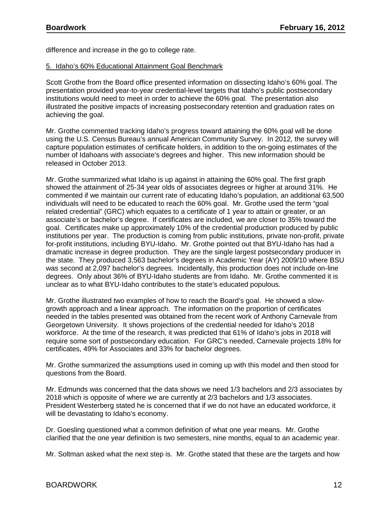difference and increase in the go to college rate.

### 5. Idaho's 60% Educational Attainment Goal Benchmark

Scott Grothe from the Board office presented information on dissecting Idaho's 60% goal. The presentation provided year-to-year credential-level targets that Idaho's public postsecondary institutions would need to meet in order to achieve the 60% goal. The presentation also illustrated the positive impacts of increasing postsecondary retention and graduation rates on achieving the goal.

Mr. Grothe commented tracking Idaho's progress toward attaining the 60% goal will be done using the U.S. Census Bureau's annual American Community Survey. In 2012, the survey will capture population estimates of certificate holders, in addition to the on-going estimates of the number of Idahoans with associate's degrees and higher. This new information should be released in October 2013.

Mr. Grothe summarized what Idaho is up against in attaining the 60% goal. The first graph showed the attainment of 25-34 year olds of associates degrees or higher at around 31%. He commented if we maintain our current rate of educating Idaho's population, an additional 63,500 individuals will need to be educated to reach the 60% goal. Mr. Grothe used the term "goal related credential" (GRC) which equates to a certificate of 1 year to attain or greater, or an associate's or bachelor's degree. If certificates are included, we are closer to 35% toward the goal. Certificates make up approximately 10% of the credential production produced by public institutions per year. The production is coming from public institutions, private non-profit, private for-profit institutions, including BYU-Idaho. Mr. Grothe pointed out that BYU-Idaho has had a dramatic increase in degree production. They are the single largest postsecondary producer in the state. They produced 3,563 bachelor's degrees in Academic Year (AY) 2009/10 where BSU was second at 2,097 bachelor's degrees. Incidentally, this production does not include on-line degrees. Only about 36% of BYU-Idaho students are from Idaho. Mr. Grothe commented it is unclear as to what BYU-Idaho contributes to the state's educated populous.

Mr. Grothe illustrated two examples of how to reach the Board's goal. He showed a slowgrowth approach and a linear approach. The information on the proportion of certificates needed in the tables presented was obtained from the recent work of Anthony Carnevale from Georgetown University. It shows projections of the credential needed for Idaho's 2018 workforce. At the time of the research, it was predicted that 61% of Idaho's jobs in 2018 will require some sort of postsecondary education. For GRC's needed, Carnevale projects 18% for certificates, 49% for Associates and 33% for bachelor degrees.

Mr. Grothe summarized the assumptions used in coming up with this model and then stood for questions from the Board.

Mr. Edmunds was concerned that the data shows we need 1/3 bachelors and 2/3 associates by 2018 which is opposite of where we are currently at 2/3 bachelors and 1/3 associates. President Westerberg stated he is concerned that if we do not have an educated workforce, it will be devastating to Idaho's economy.

Dr. Goesling questioned what a common definition of what one year means. Mr. Grothe clarified that the one year definition is two semesters, nine months, equal to an academic year.

Mr. Soltman asked what the next step is. Mr. Grothe stated that these are the targets and how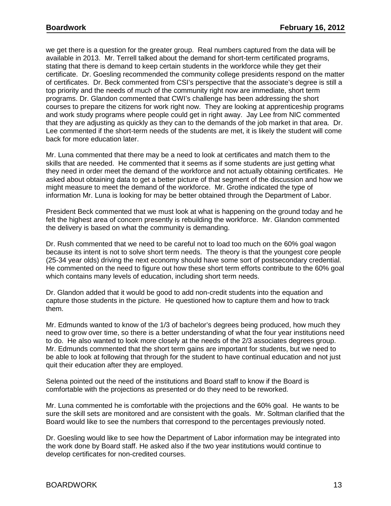we get there is a question for the greater group. Real numbers captured from the data will be available in 2013. Mr. Terrell talked about the demand for short-term certificated programs, stating that there is demand to keep certain students in the workforce while they get their certificate. Dr. Goesling recommended the community college presidents respond on the matter of certificates. Dr. Beck commented from CSI's perspective that the associate's degree is still a top priority and the needs of much of the community right now are immediate, short term programs. Dr. Glandon commented that CWI's challenge has been addressing the short courses to prepare the citizens for work right now. They are looking at apprenticeship programs and work study programs where people could get in right away. Jay Lee from NIC commented that they are adjusting as quickly as they can to the demands of the job market in that area. Dr. Lee commented if the short-term needs of the students are met, it is likely the student will come back for more education later.

Mr. Luna commented that there may be a need to look at certificates and match them to the skills that are needed. He commented that it seems as if some students are just getting what they need in order meet the demand of the workforce and not actually obtaining certificates. He asked about obtaining data to get a better picture of that segment of the discussion and how we might measure to meet the demand of the workforce. Mr. Grothe indicated the type of information Mr. Luna is looking for may be better obtained through the Department of Labor.

President Beck commented that we must look at what is happening on the ground today and he felt the highest area of concern presently is rebuilding the workforce. Mr. Glandon commented the delivery is based on what the community is demanding.

Dr. Rush commented that we need to be careful not to load too much on the 60% goal wagon because its intent is not to solve short term needs. The theory is that the youngest core people (25-34 year olds) driving the next economy should have some sort of postsecondary credential. He commented on the need to figure out how these short term efforts contribute to the 60% goal which contains many levels of education, including short term needs.

Dr. Glandon added that it would be good to add non-credit students into the equation and capture those students in the picture. He questioned how to capture them and how to track them.

Mr. Edmunds wanted to know of the 1/3 of bachelor's degrees being produced, how much they need to grow over time, so there is a better understanding of what the four year institutions need to do. He also wanted to look more closely at the needs of the 2/3 associates degrees group. Mr. Edmunds commented that the short term gains are important for students, but we need to be able to look at following that through for the student to have continual education and not just quit their education after they are employed.

Selena pointed out the need of the institutions and Board staff to know if the Board is comfortable with the projections as presented or do they need to be reworked.

Mr. Luna commented he is comfortable with the projections and the 60% goal. He wants to be sure the skill sets are monitored and are consistent with the goals. Mr. Soltman clarified that the Board would like to see the numbers that correspond to the percentages previously noted.

Dr. Goesling would like to see how the Department of Labor information may be integrated into the work done by Board staff. He asked also if the two year institutions would continue to develop certificates for non-credited courses.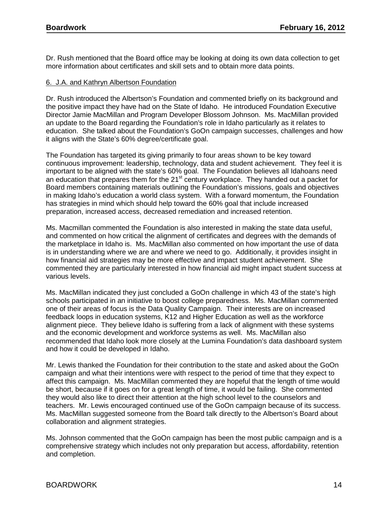Dr. Rush mentioned that the Board office may be looking at doing its own data collection to get more information about certificates and skill sets and to obtain more data points.

# 6. J.A. and Kathryn Albertson Foundation

Dr. Rush introduced the Albertson's Foundation and commented briefly on its background and the positive impact they have had on the State of Idaho. He introduced Foundation Executive Director Jamie MacMillan and Program Developer Blossom Johnson. Ms. MacMillan provided an update to the Board regarding the Foundation's role in Idaho particularly as it relates to education. She talked about the Foundation's GoOn campaign successes, challenges and how it aligns with the State's 60% degree/certificate goal.

The Foundation has targeted its giving primarily to four areas shown to be key toward continuous improvement: leadership, technology, data and student achievement. They feel it is important to be aligned with the state's 60% goal. The Foundation believes all Idahoans need an education that prepares them for the  $21<sup>st</sup>$  century workplace. They handed out a packet for Board members containing materials outlining the Foundation's missions, goals and objectives in making Idaho's education a world class system. With a forward momentum, the Foundation has strategies in mind which should help toward the 60% goal that include increased preparation, increased access, decreased remediation and increased retention.

Ms. Macmillan commented the Foundation is also interested in making the state data useful, and commented on how critical the alignment of certificates and degrees with the demands of the marketplace in Idaho is. Ms. MacMillan also commented on how important the use of data is in understanding where we are and where we need to go. Additionally, it provides insight in how financial aid strategies may be more effective and impact student achievement. She commented they are particularly interested in how financial aid might impact student success at various levels.

Ms. MacMillan indicated they just concluded a GoOn challenge in which 43 of the state's high schools participated in an initiative to boost college preparedness. Ms. MacMillan commented one of their areas of focus is the Data Quality Campaign. Their interests are on increased feedback loops in education systems, K12 and Higher Education as well as the workforce alignment piece. They believe Idaho is suffering from a lack of alignment with these systems and the economic development and workforce systems as well. Ms. MacMillan also recommended that Idaho look more closely at the Lumina Foundation's data dashboard system and how it could be developed in Idaho.

Mr. Lewis thanked the Foundation for their contribution to the state and asked about the GoOn campaign and what their intentions were with respect to the period of time that they expect to affect this campaign. Ms. MacMillan commented they are hopeful that the length of time would be short, because if it goes on for a great length of time, it would be failing. She commented they would also like to direct their attention at the high school level to the counselors and teachers. Mr. Lewis encouraged continued use of the GoOn campaign because of its success. Ms. MacMillan suggested someone from the Board talk directly to the Albertson's Board about collaboration and alignment strategies.

Ms. Johnson commented that the GoOn campaign has been the most public campaign and is a comprehensive strategy which includes not only preparation but access, affordability, retention and completion.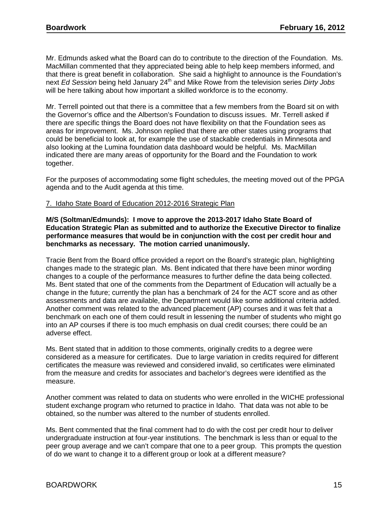Mr. Edmunds asked what the Board can do to contribute to the direction of the Foundation. Ms. MacMillan commented that they appreciated being able to help keep members informed, and that there is great benefit in collaboration. She said a highlight to announce is the Foundation's next *Ed Session* being held January 24th and Mike Rowe from the television series *Dirty Jobs* will be here talking about how important a skilled workforce is to the economy.

Mr. Terrell pointed out that there is a committee that a few members from the Board sit on with the Governor's office and the Albertson's Foundation to discuss issues. Mr. Terrell asked if there are specific things the Board does not have flexibility on that the Foundation sees as areas for improvement. Ms. Johnson replied that there are other states using programs that could be beneficial to look at, for example the use of stackable credentials in Minnesota and also looking at the Lumina foundation data dashboard would be helpful. Ms. MacMillan indicated there are many areas of opportunity for the Board and the Foundation to work together.

For the purposes of accommodating some flight schedules, the meeting moved out of the PPGA agenda and to the Audit agenda at this time.

# 7. Idaho State Board of Education 2012-2016 Strategic Plan

**M/S (Soltman/Edmunds): I move to approve the 2013-2017 Idaho State Board of Education Strategic Plan as submitted and to authorize the Executive Director to finalize performance measures that would be in conjunction with the cost per credit hour and benchmarks as necessary. The motion carried unanimously.**

Tracie Bent from the Board office provided a report on the Board's strategic plan, highlighting changes made to the strategic plan. Ms. Bent indicated that there have been minor wording changes to a couple of the performance measures to further define the data being collected. Ms. Bent stated that one of the comments from the Department of Education will actually be a change in the future; currently the plan has a benchmark of 24 for the ACT score and as other assessments and data are available, the Department would like some additional criteria added. Another comment was related to the advanced placement (AP) courses and it was felt that a benchmark on each one of them could result in lessening the number of students who might go into an AP courses if there is too much emphasis on dual credit courses; there could be an adverse effect.

Ms. Bent stated that in addition to those comments, originally credits to a degree were considered as a measure for certificates. Due to large variation in credits required for different certificates the measure was reviewed and considered invalid, so certificates were eliminated from the measure and credits for associates and bachelor's degrees were identified as the measure.

Another comment was related to data on students who were enrolled in the WICHE professional student exchange program who returned to practice in Idaho. That data was not able to be obtained, so the number was altered to the number of students enrolled.

Ms. Bent commented that the final comment had to do with the cost per credit hour to deliver undergraduate instruction at four-year institutions. The benchmark is less than or equal to the peer group average and we can't compare that one to a peer group. This prompts the question of do we want to change it to a different group or look at a different measure?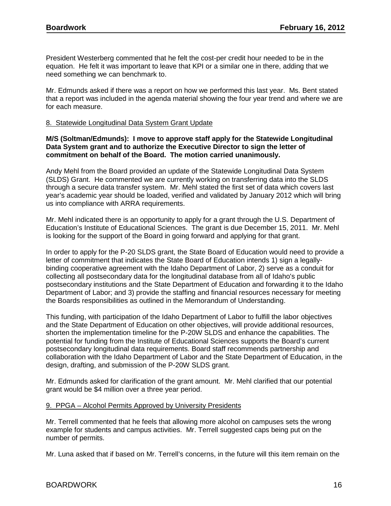President Westerberg commented that he felt the cost-per credit hour needed to be in the equation. He felt it was important to leave that KPI or a similar one in there, adding that we need something we can benchmark to.

Mr. Edmunds asked if there was a report on how we performed this last year. Ms. Bent stated that a report was included in the agenda material showing the four year trend and where we are for each measure.

# 8. Statewide Longitudinal Data System Grant Update

### **M/S (Soltman/Edmunds): I move to approve staff apply for the Statewide Longitudinal Data System grant and to authorize the Executive Director to sign the letter of commitment on behalf of the Board. The motion carried unanimously.**

Andy Mehl from the Board provided an update of the Statewide Longitudinal Data System (SLDS) Grant. He commented we are currently working on transferring data into the SLDS through a secure data transfer system. Mr. Mehl stated the first set of data which covers last year's academic year should be loaded, verified and validated by January 2012 which will bring us into compliance with ARRA requirements.

Mr. Mehl indicated there is an opportunity to apply for a grant through the U.S. Department of Education's Institute of Educational Sciences. The grant is due December 15, 2011. Mr. Mehl is looking for the support of the Board in going forward and applying for that grant.

In order to apply for the P-20 SLDS grant, the State Board of Education would need to provide a letter of commitment that indicates the State Board of Education intends 1) sign a legallybinding cooperative agreement with the Idaho Department of Labor, 2) serve as a conduit for collecting all postsecondary data for the longitudinal database from all of Idaho's public postsecondary institutions and the State Department of Education and forwarding it to the Idaho Department of Labor; and 3) provide the staffing and financial resources necessary for meeting the Boards responsibilities as outlined in the Memorandum of Understanding.

This funding, with participation of the Idaho Department of Labor to fulfill the labor objectives and the State Department of Education on other objectives, will provide additional resources, shorten the implementation timeline for the P-20W SLDS and enhance the capabilities. The potential for funding from the Institute of Educational Sciences supports the Board's current postsecondary longitudinal data requirements. Board staff recommends partnership and collaboration with the Idaho Department of Labor and the State Department of Education, in the design, drafting, and submission of the P-20W SLDS grant.

Mr. Edmunds asked for clarification of the grant amount. Mr. Mehl clarified that our potential grant would be \$4 million over a three year period.

# 9. PPGA – Alcohol Permits Approved by University Presidents

Mr. Terrell commented that he feels that allowing more alcohol on campuses sets the wrong example for students and campus activities. Mr. Terrell suggested caps being put on the number of permits.

Mr. Luna asked that if based on Mr. Terrell's concerns, in the future will this item remain on the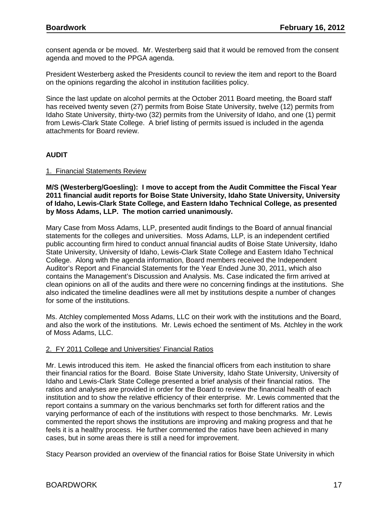consent agenda or be moved. Mr. Westerberg said that it would be removed from the consent agenda and moved to the PPGA agenda.

President Westerberg asked the Presidents council to review the item and report to the Board on the opinions regarding the alcohol in institution facilities policy.

Since the last update on alcohol permits at the October 2011 Board meeting, the Board staff has received twenty seven (27) permits from Boise State University, twelve (12) permits from Idaho State University, thirty-two (32) permits from the University of Idaho, and one (1) permit from Lewis-Clark State College. A brief listing of permits issued is included in the agenda attachments for Board review.

# **AUDIT**

### 1. Financial Statements Review

**M/S (Westerberg/Goesling): I move to accept from the Audit Committee the Fiscal Year 2011 financial audit reports for Boise State University, Idaho State University, University of Idaho, Lewis-Clark State College, and Eastern Idaho Technical College, as presented by Moss Adams, LLP. The motion carried unanimously.**

Mary Case from Moss Adams, LLP, presented audit findings to the Board of annual financial statements for the colleges and universities. Moss Adams, LLP, is an independent certified public accounting firm hired to conduct annual financial audits of Boise State University, Idaho State University, University of Idaho, Lewis-Clark State College and Eastern Idaho Technical College. Along with the agenda information, Board members received the Independent Auditor's Report and Financial Statements for the Year Ended June 30, 2011, which also contains the Management's Discussion and Analysis. Ms. Case indicated the firm arrived at clean opinions on all of the audits and there were no concerning findings at the institutions. She also indicated the timeline deadlines were all met by institutions despite a number of changes for some of the institutions.

Ms. Atchley complemented Moss Adams, LLC on their work with the institutions and the Board, and also the work of the institutions. Mr. Lewis echoed the sentiment of Ms. Atchley in the work of Moss Adams, LLC.

#### 2. FY 2011 College and Universities' Financial Ratios

Mr. Lewis introduced this item. He asked the financial officers from each institution to share their financial ratios for the Board. Boise State University, Idaho State University, University of Idaho and Lewis-Clark State College presented a brief analysis of their financial ratios. The ratios and analyses are provided in order for the Board to review the financial health of each institution and to show the relative efficiency of their enterprise. Mr. Lewis commented that the report contains a summary on the various benchmarks set forth for different ratios and the varying performance of each of the institutions with respect to those benchmarks. Mr. Lewis commented the report shows the institutions are improving and making progress and that he feels it is a healthy process. He further commented the ratios have been achieved in many cases, but in some areas there is still a need for improvement.

Stacy Pearson provided an overview of the financial ratios for Boise State University in which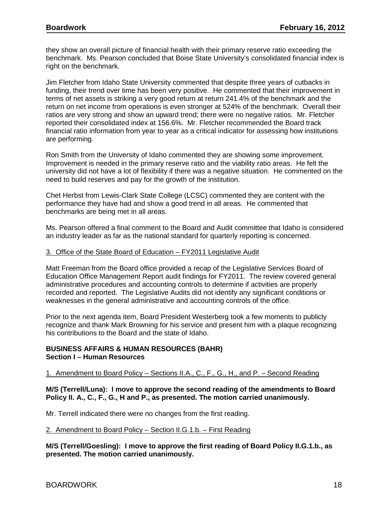they show an overall picture of financial health with their primary reserve ratio exceeding the benchmark. Ms. Pearson concluded that Boise State University's consolidated financial index is right on the benchmark.

Jim Fletcher from Idaho State University commented that despite three years of cutbacks in funding, their trend over time has been very positive. He commented that their improvement in terms of net assets is striking a very good return at return 241.4% of the benchmark and the return on net income from operations is even stronger at 524% of the benchmark. Overall their ratios are very strong and show an upward trend; there were no negative ratios. Mr. Fletcher reported their consolidated index at 156.6%. Mr. Fletcher recommended the Board track financial ratio information from year to year as a critical indicator for assessing how institutions are performing.

Ron Smith from the University of Idaho commented they are showing some improvement. Improvement is needed in the primary reserve ratio and the viability ratio areas. He felt the university did not have a lot of flexibility if there was a negative situation. He commented on the need to build reserves and pay for the growth of the institution.

Chet Herbst from Lewis-Clark State College (LCSC) commented they are content with the performance they have had and show a good trend in all areas. He commented that benchmarks are being met in all areas.

Ms. Pearson offered a final comment to the Board and Audit committee that Idaho is considered an industry leader as far as the national standard for quarterly reporting is concerned.

#### 3. Office of the State Board of Education – FY2011 Legislative Audit

Matt Freeman from the Board office provided a recap of the Legislative Services Board of Education Office Management Report audit findings for FY2011. The review covered general administrative procedures and accounting controls to determine if activities are properly recorded and reported. The Legislative Audits did not identify any significant conditions or weaknesses in the general administrative and accounting controls of the office.

Prior to the next agenda item, Board President Westerberg took a few moments to publicly recognize and thank Mark Browning for his service and present him with a plaque recognizing his contributions to the Board and the state of Idaho.

### **BUSINESS AFFAIRS & HUMAN RESOURCES (BAHR) Section I – Human Resources**

1. Amendment to Board Policy – Sections II.A., C., F., G., H., and P. – Second Reading

### **M/S (Terrell/Luna): I move to approve the second reading of the amendments to Board Policy II. A., C., F., G., H and P., as presented. The motion carried unanimously.**

Mr. Terrell indicated there were no changes from the first reading.

#### 2. Amendment to Board Policy – Section II.G.1.b. – First Reading

**M/S (Terrell/Goesling): I move to approve the first reading of Board Policy II.G.1.b., as presented. The motion carried unanimously.**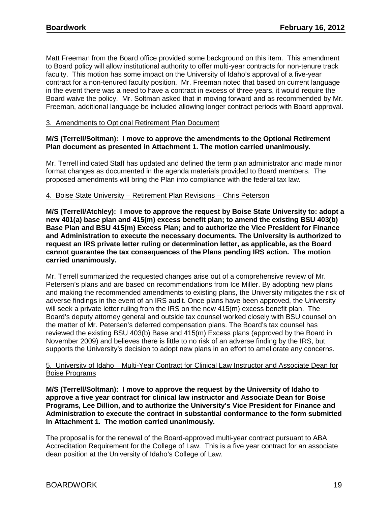Matt Freeman from the Board office provided some background on this item. This amendment to Board policy will allow institutional authority to offer multi-year contracts for non-tenure track faculty. This motion has some impact on the University of Idaho's approval of a five-year contract for a non-tenured faculty position. Mr. Freeman noted that based on current language in the event there was a need to have a contract in excess of three years, it would require the Board waive the policy. Mr. Soltman asked that in moving forward and as recommended by Mr. Freeman, additional language be included allowing longer contract periods with Board approval.

# 3. Amendments to Optional Retirement Plan Document

# **M/S (Terrell/Soltman): I move to approve the amendments to the Optional Retirement Plan document as presented in Attachment 1. The motion carried unanimously.**

Mr. Terrell indicated Staff has updated and defined the term plan administrator and made minor format changes as documented in the agenda materials provided to Board members. The proposed amendments will bring the Plan into compliance with the federal tax law.

# 4. Boise State University – Retirement Plan Revisions – Chris Peterson

**M/S (Terrell/Atchley): I move to approve the request by Boise State University to: adopt a new 401(a) base plan and 415(m) excess benefit plan; to amend the existing BSU 403(b) Base Plan and BSU 415(m) Excess Plan; and to authorize the Vice President for Finance and Administration to execute the necessary documents. The University is authorized to request an IRS private letter ruling or determination letter, as applicable, as the Board cannot guarantee the tax consequences of the Plans pending IRS action. The motion carried unanimously.**

Mr. Terrell summarized the requested changes arise out of a comprehensive review of Mr. Petersen's plans and are based on recommendations from Ice Miller. By adopting new plans and making the recommended amendments to existing plans, the University mitigates the risk of adverse findings in the event of an IRS audit. Once plans have been approved, the University will seek a private letter ruling from the IRS on the new 415(m) excess benefit plan. The Board's deputy attorney general and outside tax counsel worked closely with BSU counsel on the matter of Mr. Petersen's deferred compensation plans. The Board's tax counsel has reviewed the existing BSU 403(b) Base and 415(m) Excess plans (approved by the Board in November 2009) and believes there is little to no risk of an adverse finding by the IRS, but supports the University's decision to adopt new plans in an effort to ameliorate any concerns.

### 5. University of Idaho – Multi-Year Contract for Clinical Law Instructor and Associate Dean for Boise Programs

**M/S (Terrell/Soltman): I move to approve the request by the University of Idaho to approve a five year contract for clinical law instructor and Associate Dean for Boise Programs, Lee Dillion, and to authorize the University's Vice President for Finance and Administration to execute the contract in substantial conformance to the form submitted in Attachment 1. The motion carried unanimously.**

The proposal is for the renewal of the Board-approved multi-year contract pursuant to ABA Accreditation Requirement for the College of Law. This is a five year contract for an associate dean position at the University of Idaho's College of Law.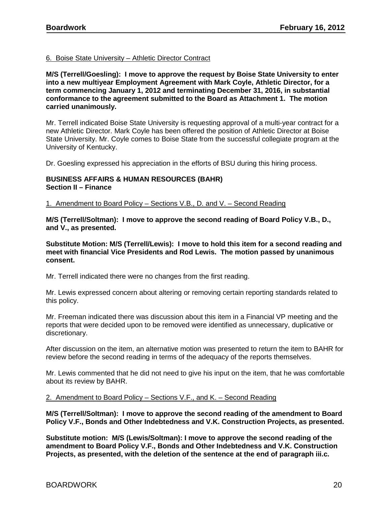# 6. Boise State University – Athletic Director Contract

**M/S (Terrell/Goesling): I move to approve the request by Boise State University to enter into a new multiyear Employment Agreement with Mark Coyle, Athletic Director, for a term commencing January 1, 2012 and terminating December 31, 2016, in substantial conformance to the agreement submitted to the Board as Attachment 1. The motion carried unanimously.**

Mr. Terrell indicated Boise State University is requesting approval of a multi-year contract for a new Athletic Director. Mark Coyle has been offered the position of Athletic Director at Boise State University. Mr. Coyle comes to Boise State from the successful collegiate program at the University of Kentucky.

Dr. Goesling expressed his appreciation in the efforts of BSU during this hiring process.

# **BUSINESS AFFAIRS & HUMAN RESOURCES (BAHR) Section II – Finance**

1. Amendment to Board Policy – Sections V.B., D. and V. – Second Reading

**M/S (Terrell/Soltman): I move to approve the second reading of Board Policy V.B., D., and V., as presented.** 

**Substitute Motion: M/S (Terrell/Lewis): I move to hold this item for a second reading and meet with financial Vice Presidents and Rod Lewis. The motion passed by unanimous consent.**

Mr. Terrell indicated there were no changes from the first reading.

Mr. Lewis expressed concern about altering or removing certain reporting standards related to this policy.

Mr. Freeman indicated there was discussion about this item in a Financial VP meeting and the reports that were decided upon to be removed were identified as unnecessary, duplicative or discretionary.

After discussion on the item, an alternative motion was presented to return the item to BAHR for review before the second reading in terms of the adequacy of the reports themselves.

Mr. Lewis commented that he did not need to give his input on the item, that he was comfortable about its review by BAHR.

### 2. Amendment to Board Policy – Sections V.F., and K. – Second Reading

**M/S (Terrell/Soltman): I move to approve the second reading of the amendment to Board Policy V.F., Bonds and Other Indebtedness and V.K. Construction Projects, as presented.**

**Substitute motion: M/S (Lewis/Soltman): I move to approve the second reading of the amendment to Board Policy V.F., Bonds and Other Indebtedness and V.K. Construction Projects, as presented, with the deletion of the sentence at the end of paragraph iii.c.**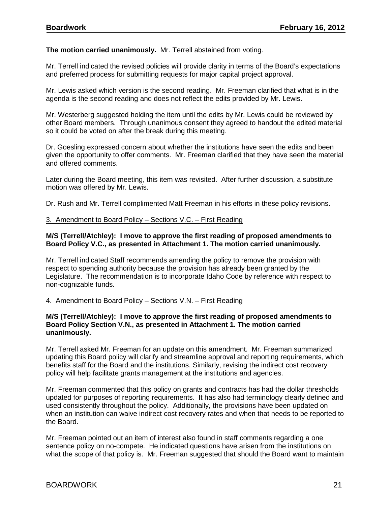# **The motion carried unanimously.** Mr. Terrell abstained from voting.

Mr. Terrell indicated the revised policies will provide clarity in terms of the Board's expectations and preferred process for submitting requests for major capital project approval.

Mr. Lewis asked which version is the second reading. Mr. Freeman clarified that what is in the agenda is the second reading and does not reflect the edits provided by Mr. Lewis.

Mr. Westerberg suggested holding the item until the edits by Mr. Lewis could be reviewed by other Board members. Through unanimous consent they agreed to handout the edited material so it could be voted on after the break during this meeting.

Dr. Goesling expressed concern about whether the institutions have seen the edits and been given the opportunity to offer comments. Mr. Freeman clarified that they have seen the material and offered comments.

Later during the Board meeting, this item was revisited. After further discussion, a substitute motion was offered by Mr. Lewis.

Dr. Rush and Mr. Terrell complimented Matt Freeman in his efforts in these policy revisions.

3. Amendment to Board Policy – Sections V.C. – First Reading

### **M/S (Terrell/Atchley): I move to approve the first reading of proposed amendments to Board Policy V.C., as presented in Attachment 1. The motion carried unanimously.**

Mr. Terrell indicated Staff recommends amending the policy to remove the provision with respect to spending authority because the provision has already been granted by the Legislature. The recommendation is to incorporate Idaho Code by reference with respect to non-cognizable funds.

# 4. Amendment to Board Policy – Sections V.N. – First Reading

#### **M/S (Terrell/Atchley): I move to approve the first reading of proposed amendments to Board Policy Section V.N., as presented in Attachment 1. The motion carried unanimously.**

Mr. Terrell asked Mr. Freeman for an update on this amendment. Mr. Freeman summarized updating this Board policy will clarify and streamline approval and reporting requirements, which benefits staff for the Board and the institutions. Similarly, revising the indirect cost recovery policy will help facilitate grants management at the institutions and agencies.

Mr. Freeman commented that this policy on grants and contracts has had the dollar thresholds updated for purposes of reporting requirements. It has also had terminology clearly defined and used consistently throughout the policy. Additionally, the provisions have been updated on when an institution can waive indirect cost recovery rates and when that needs to be reported to the Board.

Mr. Freeman pointed out an item of interest also found in staff comments regarding a one sentence policy on no-compete. He indicated questions have arisen from the institutions on what the scope of that policy is. Mr. Freeman suggested that should the Board want to maintain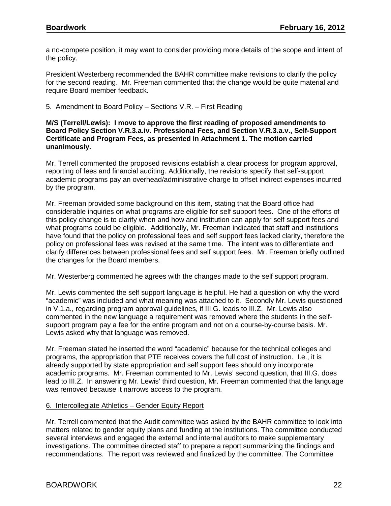a no-compete position, it may want to consider providing more details of the scope and intent of the policy.

President Westerberg recommended the BAHR committee make revisions to clarify the policy for the second reading. Mr. Freeman commented that the change would be quite material and require Board member feedback.

### 5. Amendment to Board Policy – Sections V.R. – First Reading

**M/S (Terrell/Lewis): I move to approve the first reading of proposed amendments to Board Policy Section V.R.3.a.iv. Professional Fees, and Section V.R.3.a.v., Self-Support Certificate and Program Fees, as presented in Attachment 1. The motion carried unanimously.**

Mr. Terrell commented the proposed revisions establish a clear process for program approval, reporting of fees and financial auditing. Additionally, the revisions specify that self-support academic programs pay an overhead/administrative charge to offset indirect expenses incurred by the program.

Mr. Freeman provided some background on this item, stating that the Board office had considerable inquiries on what programs are eligible for self support fees. One of the efforts of this policy change is to clarify when and how and institution can apply for self support fees and what programs could be eligible. Additionally, Mr. Freeman indicated that staff and institutions have found that the policy on professional fees and self support fees lacked clarity, therefore the policy on professional fees was revised at the same time. The intent was to differentiate and clarify differences between professional fees and self support fees. Mr. Freeman briefly outlined the changes for the Board members.

Mr. Westerberg commented he agrees with the changes made to the self support program.

Mr. Lewis commented the self support language is helpful. He had a question on why the word "academic" was included and what meaning was attached to it. Secondly Mr. Lewis questioned in V.1.a., regarding program approval guidelines, if III.G. leads to III.Z. Mr. Lewis also commented in the new language a requirement was removed where the students in the selfsupport program pay a fee for the entire program and not on a course-by-course basis. Mr. Lewis asked why that language was removed.

Mr. Freeman stated he inserted the word "academic" because for the technical colleges and programs, the appropriation that PTE receives covers the full cost of instruction. I.e., it is already supported by state appropriation and self support fees should only incorporate academic programs. Mr. Freeman commented to Mr. Lewis' second question, that III.G. does lead to III.Z. In answering Mr. Lewis' third question, Mr. Freeman commented that the language was removed because it narrows access to the program.

#### 6. Intercollegiate Athletics – Gender Equity Report

Mr. Terrell commented that the Audit committee was asked by the BAHR committee to look into matters related to gender equity plans and funding at the institutions. The committee conducted several interviews and engaged the external and internal auditors to make supplementary investigations. The committee directed staff to prepare a report summarizing the findings and recommendations. The report was reviewed and finalized by the committee. The Committee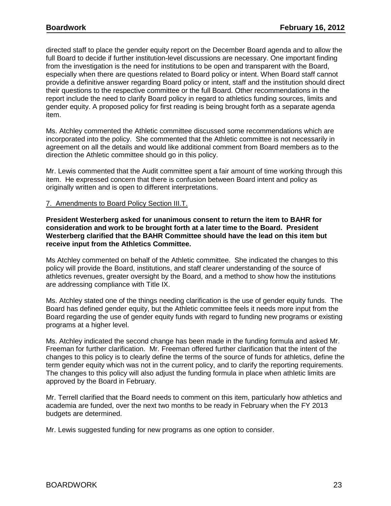directed staff to place the gender equity report on the December Board agenda and to allow the full Board to decide if further institution-level discussions are necessary. One important finding from the investigation is the need for institutions to be open and transparent with the Board, especially when there are questions related to Board policy or intent. When Board staff cannot provide a definitive answer regarding Board policy or intent, staff and the institution should direct their questions to the respective committee or the full Board. Other recommendations in the report include the need to clarify Board policy in regard to athletics funding sources, limits and gender equity. A proposed policy for first reading is being brought forth as a separate agenda item.

Ms. Atchley commented the Athletic committee discussed some recommendations which are incorporated into the policy. She commented that the Athletic committee is not necessarily in agreement on all the details and would like additional comment from Board members as to the direction the Athletic committee should go in this policy.

Mr. Lewis commented that the Audit committee spent a fair amount of time working through this item. He expressed concern that there is confusion between Board intent and policy as originally written and is open to different interpretations.

### 7. Amendments to Board Policy Section III.T.

**President Westerberg asked for unanimous consent to return the item to BAHR for consideration and work to be brought forth at a later time to the Board. President Westerberg clarified that the BAHR Committee should have the lead on this item but receive input from the Athletics Committee.** 

Ms Atchley commented on behalf of the Athletic committee. She indicated the changes to this policy will provide the Board, institutions, and staff clearer understanding of the source of athletics revenues, greater oversight by the Board, and a method to show how the institutions are addressing compliance with Title IX.

Ms. Atchley stated one of the things needing clarification is the use of gender equity funds. The Board has defined gender equity, but the Athletic committee feels it needs more input from the Board regarding the use of gender equity funds with regard to funding new programs or existing programs at a higher level.

Ms. Atchley indicated the second change has been made in the funding formula and asked Mr. Freeman for further clarification. Mr. Freeman offered further clarification that the intent of the changes to this policy is to clearly define the terms of the source of funds for athletics, define the term gender equity which was not in the current policy, and to clarify the reporting requirements. The changes to this policy will also adjust the funding formula in place when athletic limits are approved by the Board in February.

Mr. Terrell clarified that the Board needs to comment on this item, particularly how athletics and academia are funded, over the next two months to be ready in February when the FY 2013 budgets are determined.

Mr. Lewis suggested funding for new programs as one option to consider.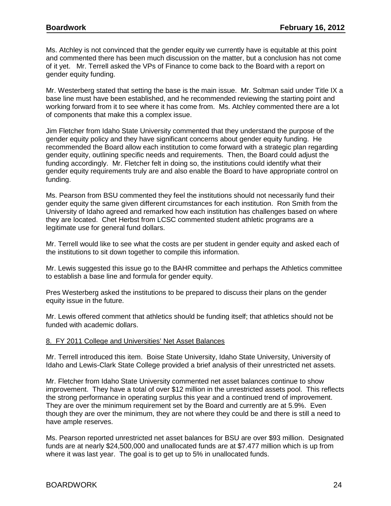Ms. Atchley is not convinced that the gender equity we currently have is equitable at this point and commented there has been much discussion on the matter, but a conclusion has not come of it yet. Mr. Terrell asked the VPs of Finance to come back to the Board with a report on gender equity funding.

Mr. Westerberg stated that setting the base is the main issue. Mr. Soltman said under Title IX a base line must have been established, and he recommended reviewing the starting point and working forward from it to see where it has come from. Ms. Atchley commented there are a lot of components that make this a complex issue.

Jim Fletcher from Idaho State University commented that they understand the purpose of the gender equity policy and they have significant concerns about gender equity funding. He recommended the Board allow each institution to come forward with a strategic plan regarding gender equity, outlining specific needs and requirements. Then, the Board could adjust the funding accordingly. Mr. Fletcher felt in doing so, the institutions could identify what their gender equity requirements truly are and also enable the Board to have appropriate control on funding.

Ms. Pearson from BSU commented they feel the institutions should not necessarily fund their gender equity the same given different circumstances for each institution. Ron Smith from the University of Idaho agreed and remarked how each institution has challenges based on where they are located. Chet Herbst from LCSC commented student athletic programs are a legitimate use for general fund dollars.

Mr. Terrell would like to see what the costs are per student in gender equity and asked each of the institutions to sit down together to compile this information.

Mr. Lewis suggested this issue go to the BAHR committee and perhaps the Athletics committee to establish a base line and formula for gender equity.

Pres Westerberg asked the institutions to be prepared to discuss their plans on the gender equity issue in the future.

Mr. Lewis offered comment that athletics should be funding itself; that athletics should not be funded with academic dollars.

#### 8. FY 2011 College and Universities' Net Asset Balances

Mr. Terrell introduced this item. Boise State University, Idaho State University, University of Idaho and Lewis-Clark State College provided a brief analysis of their unrestricted net assets.

Mr. Fletcher from Idaho State University commented net asset balances continue to show improvement. They have a total of over \$12 million in the unrestricted assets pool. This reflects the strong performance in operating surplus this year and a continued trend of improvement. They are over the minimum requirement set by the Board and currently are at 5.9%. Even though they are over the minimum, they are not where they could be and there is still a need to have ample reserves.

Ms. Pearson reported unrestricted net asset balances for BSU are over \$93 million. Designated funds are at nearly \$24,500,000 and unallocated funds are at \$7.477 million which is up from where it was last year. The goal is to get up to 5% in unallocated funds.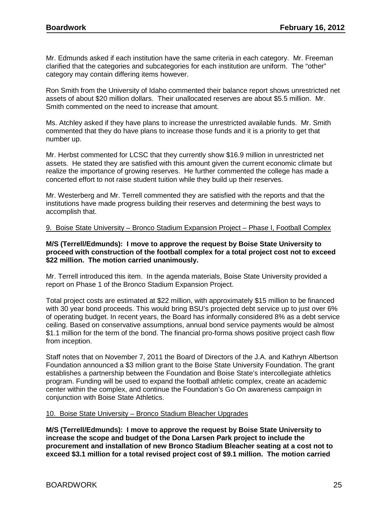Mr. Edmunds asked if each institution have the same criteria in each category. Mr. Freeman clarified that the categories and subcategories for each institution are uniform. The "other" category may contain differing items however.

Ron Smith from the University of Idaho commented their balance report shows unrestricted net assets of about \$20 million dollars. Their unallocated reserves are about \$5.5 million. Mr. Smith commented on the need to increase that amount.

Ms. Atchley asked if they have plans to increase the unrestricted available funds. Mr. Smith commented that they do have plans to increase those funds and it is a priority to get that number up.

Mr. Herbst commented for LCSC that they currently show \$16.9 million in unrestricted net assets. He stated they are satisfied with this amount given the current economic climate but realize the importance of growing reserves. He further commented the college has made a concerted effort to not raise student tuition while they build up their reserves.

Mr. Westerberg and Mr. Terrell commented they are satisfied with the reports and that the institutions have made progress building their reserves and determining the best ways to accomplish that.

# 9. Boise State University – Bronco Stadium Expansion Project – Phase I, Football Complex

### **M/S (Terrell/Edmunds): I move to approve the request by Boise State University to proceed with construction of the football complex for a total project cost not to exceed \$22 million. The motion carried unanimously.**

Mr. Terrell introduced this item. In the agenda materials, Boise State University provided a report on Phase 1 of the Bronco Stadium Expansion Project.

Total project costs are estimated at \$22 million, with approximately \$15 million to be financed with 30 year bond proceeds. This would bring BSU's projected debt service up to just over 6% of operating budget. In recent years, the Board has informally considered 8% as a debt service ceiling. Based on conservative assumptions, annual bond service payments would be almost \$1.1 million for the term of the bond. The financial pro-forma shows positive project cash flow from inception.

Staff notes that on November 7, 2011 the Board of Directors of the J.A. and Kathryn Albertson Foundation announced a \$3 million grant to the Boise State University Foundation. The grant establishes a partnership between the Foundation and Boise State's intercollegiate athletics program. Funding will be used to expand the football athletic complex, create an academic center within the complex, and continue the Foundation's Go On awareness campaign in conjunction with Boise State Athletics.

# 10. Boise State University – Bronco Stadium Bleacher Upgrades

**M/S (Terrell/Edmunds): I move to approve the request by Boise State University to increase the scope and budget of the Dona Larsen Park project to include the procurement and installation of new Bronco Stadium Bleacher seating at a cost not to exceed \$3.1 million for a total revised project cost of \$9.1 million. The motion carried**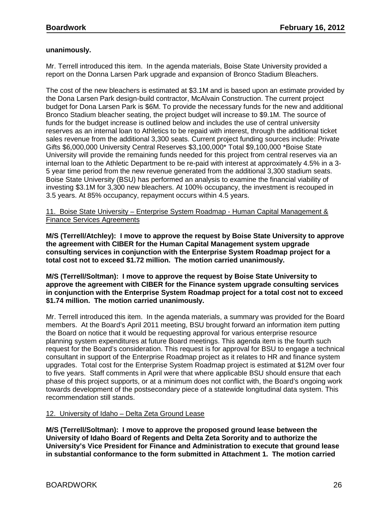# **unanimously.**

Mr. Terrell introduced this item. In the agenda materials, Boise State University provided a report on the Donna Larsen Park upgrade and expansion of Bronco Stadium Bleachers.

The cost of the new bleachers is estimated at \$3.1M and is based upon an estimate provided by the Dona Larsen Park design-build contractor, McAlvain Construction. The current project budget for Dona Larsen Park is \$6M. To provide the necessary funds for the new and additional Bronco Stadium bleacher seating, the project budget will increase to \$9.1M. The source of funds for the budget increase is outlined below and includes the use of central university reserves as an internal loan to Athletics to be repaid with interest, through the additional ticket sales revenue from the additional 3,300 seats. Current project funding sources include: Private Gifts \$6,000,000 University Central Reserves \$3,100,000\* Total \$9,100,000 \*Boise State University will provide the remaining funds needed for this project from central reserves via an internal loan to the Athletic Department to be re-paid with interest at approximately 4.5% in a 3- 5 year time period from the new revenue generated from the additional 3,300 stadium seats. Boise State University (BSU) has performed an analysis to examine the financial viability of investing \$3.1M for 3,300 new bleachers. At 100% occupancy, the investment is recouped in 3.5 years. At 85% occupancy, repayment occurs within 4.5 years.

11. Boise State University – Enterprise System Roadmap - Human Capital Management & Finance Services Agreements

**M/S (Terrell/Atchley): I move to approve the request by Boise State University to approve the agreement with CIBER for the Human Capital Management system upgrade consulting services in conjunction with the Enterprise System Roadmap project for a total cost not to exceed \$1.72 million. The motion carried unanimously.**

**M/S (Terrell/Soltman): I move to approve the request by Boise State University to approve the agreement with CIBER for the Finance system upgrade consulting services in conjunction with the Enterprise System Roadmap project for a total cost not to exceed \$1.74 million. The motion carried unanimously.**

Mr. Terrell introduced this item. In the agenda materials, a summary was provided for the Board members. At the Board's April 2011 meeting, BSU brought forward an information item putting the Board on notice that it would be requesting approval for various enterprise resource planning system expenditures at future Board meetings. This agenda item is the fourth such request for the Board's consideration. This request is for approval for BSU to engage a technical consultant in support of the Enterprise Roadmap project as it relates to HR and finance system upgrades. Total cost for the Enterprise System Roadmap project is estimated at \$12M over four to five years. Staff comments in April were that where applicable BSU should ensure that each phase of this project supports, or at a minimum does not conflict with, the Board's ongoing work towards development of the postsecondary piece of a statewide longitudinal data system. This recommendation still stands.

# 12. University of Idaho – Delta Zeta Ground Lease

**M/S (Terrell/Soltman): I move to approve the proposed ground lease between the University of Idaho Board of Regents and Delta Zeta Sorority and to authorize the University's Vice President for Finance and Administration to execute that ground lease in substantial conformance to the form submitted in Attachment 1. The motion carried**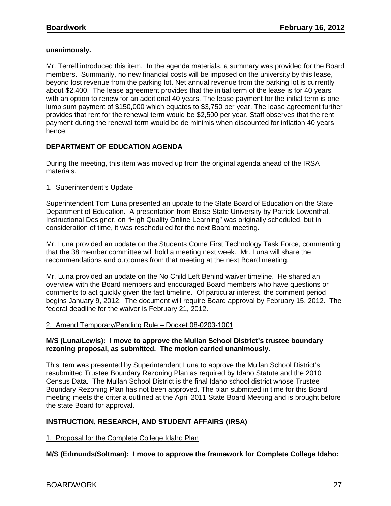### **unanimously.**

Mr. Terrell introduced this item. In the agenda materials, a summary was provided for the Board members. Summarily, no new financial costs will be imposed on the university by this lease, beyond lost revenue from the parking lot. Net annual revenue from the parking lot is currently about \$2,400. The lease agreement provides that the initial term of the lease is for 40 years with an option to renew for an additional 40 years. The lease payment for the initial term is one lump sum payment of \$150,000 which equates to \$3,750 per year. The lease agreement further provides that rent for the renewal term would be \$2,500 per year. Staff observes that the rent payment during the renewal term would be de minimis when discounted for inflation 40 years hence.

# **DEPARTMENT OF EDUCATION AGENDA**

During the meeting, this item was moved up from the original agenda ahead of the IRSA materials.

# 1. Superintendent's Update

Superintendent Tom Luna presented an update to the State Board of Education on the State Department of Education. A presentation from Boise State University by Patrick Lowenthal, Instructional Designer, on "High Quality Online Learning" was originally scheduled, but in consideration of time, it was rescheduled for the next Board meeting.

Mr. Luna provided an update on the Students Come First Technology Task Force, commenting that the 38 member committee will hold a meeting next week. Mr. Luna will share the recommendations and outcomes from that meeting at the next Board meeting.

Mr. Luna provided an update on the No Child Left Behind waiver timeline. He shared an overview with the Board members and encouraged Board members who have questions or comments to act quickly given the fast timeline. Of particular interest, the comment period begins January 9, 2012. The document will require Board approval by February 15, 2012. The federal deadline for the waiver is February 21, 2012.

# 2. Amend Temporary/Pending Rule – Docket 08-0203-1001

#### **M/S (Luna/Lewis): I move to approve the Mullan School District's trustee boundary rezoning proposal, as submitted. The motion carried unanimously.**

This item was presented by Superintendent Luna to approve the Mullan School District's resubmitted Trustee Boundary Rezoning Plan as required by Idaho Statute and the 2010 Census Data. The Mullan School District is the final Idaho school district whose Trustee Boundary Rezoning Plan has not been approved. The plan submitted in time for this Board meeting meets the criteria outlined at the April 2011 State Board Meeting and is brought before the state Board for approval.

# **INSTRUCTION, RESEARCH, AND STUDENT AFFAIRS (IRSA)**

1. Proposal for the Complete College Idaho Plan

**M/S (Edmunds/Soltman): I move to approve the framework for Complete College Idaho:**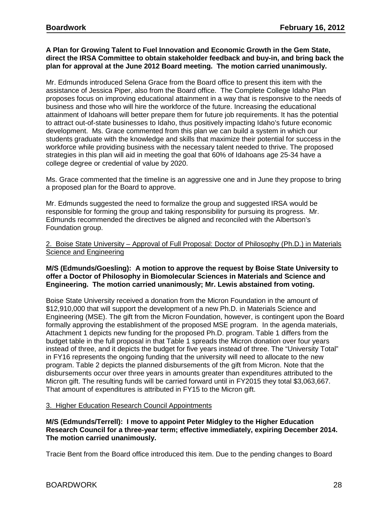## **A Plan for Growing Talent to Fuel Innovation and Economic Growth in the Gem State, direct the IRSA Committee to obtain stakeholder feedback and buy-in, and bring back the plan for approval at the June 2012 Board meeting. The motion carried unanimously.**

Mr. Edmunds introduced Selena Grace from the Board office to present this item with the assistance of Jessica Piper, also from the Board office. The Complete College Idaho Plan proposes focus on improving educational attainment in a way that is responsive to the needs of business and those who will hire the workforce of the future. Increasing the educational attainment of Idahoans will better prepare them for future job requirements. It has the potential to attract out-of-state businesses to Idaho, thus positively impacting Idaho's future economic development. Ms. Grace commented from this plan we can build a system in which our students graduate with the knowledge and skills that maximize their potential for success in the workforce while providing business with the necessary talent needed to thrive. The proposed strategies in this plan will aid in meeting the goal that 60% of Idahoans age 25-34 have a college degree or credential of value by 2020.

Ms. Grace commented that the timeline is an aggressive one and in June they propose to bring a proposed plan for the Board to approve.

Mr. Edmunds suggested the need to formalize the group and suggested IRSA would be responsible for forming the group and taking responsibility for pursuing its progress. Mr. Edmunds recommended the directives be aligned and reconciled with the Albertson's Foundation group.

### 2. Boise State University – Approval of Full Proposal: Doctor of Philosophy (Ph.D.) in Materials Science and Engineering

# **M/S (Edmunds/Goesling): A motion to approve the request by Boise State University to offer a Doctor of Philosophy in Biomolecular Sciences in Materials and Science and Engineering. The motion carried unanimously; Mr. Lewis abstained from voting.**

Boise State University received a donation from the Micron Foundation in the amount of \$12,910,000 that will support the development of a new Ph.D. in Materials Science and Engineering (MSE). The gift from the Micron Foundation, however, is contingent upon the Board formally approving the establishment of the proposed MSE program. In the agenda materials, Attachment 1 depicts new funding for the proposed Ph.D. program. Table 1 differs from the budget table in the full proposal in that Table 1 spreads the Micron donation over four years instead of three, and it depicts the budget for five years instead of three. The "University Total" in FY16 represents the ongoing funding that the university will need to allocate to the new program. Table 2 depicts the planned disbursements of the gift from Micron. Note that the disbursements occur over three years in amounts greater than expenditures attributed to the Micron gift. The resulting funds will be carried forward until in FY2015 they total \$3,063,667. That amount of expenditures is attributed in FY15 to the Micron gift.

# 3. Higher Education Research Council Appointments

**M/S (Edmunds/Terrell): I move to appoint Peter Midgley to the Higher Education Research Council for a three-year term; effective immediately, expiring December 2014. The motion carried unanimously.**

Tracie Bent from the Board office introduced this item. Due to the pending changes to Board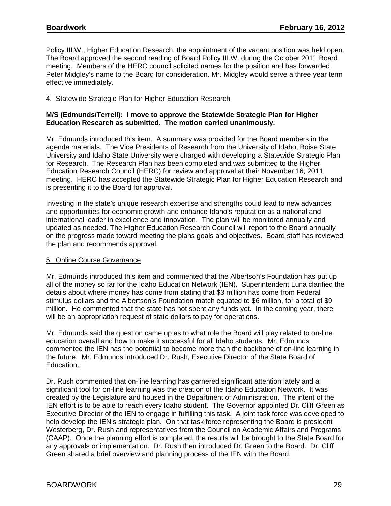Policy III.W., Higher Education Research, the appointment of the vacant position was held open. The Board approved the second reading of Board Policy III.W. during the October 2011 Board meeting. Members of the HERC council solicited names for the position and has forwarded Peter Midgley's name to the Board for consideration. Mr. Midgley would serve a three year term effective immediately.

### 4. Statewide Strategic Plan for Higher Education Research

### **M/S (Edmunds/Terrell): I move to approve the Statewide Strategic Plan for Higher Education Research as submitted. The motion carried unanimously.**

Mr. Edmunds introduced this item. A summary was provided for the Board members in the agenda materials. The Vice Presidents of Research from the University of Idaho, Boise State University and Idaho State University were charged with developing a Statewide Strategic Plan for Research. The Research Plan has been completed and was submitted to the Higher Education Research Council (HERC) for review and approval at their November 16, 2011 meeting. HERC has accepted the Statewide Strategic Plan for Higher Education Research and is presenting it to the Board for approval.

Investing in the state's unique research expertise and strengths could lead to new advances and opportunities for economic growth and enhance Idaho's reputation as a national and international leader in excellence and innovation. The plan will be monitored annually and updated as needed. The Higher Education Research Council will report to the Board annually on the progress made toward meeting the plans goals and objectives. Board staff has reviewed the plan and recommends approval.

# 5. Online Course Governance

Mr. Edmunds introduced this item and commented that the Albertson's Foundation has put up all of the money so far for the Idaho Education Network (IEN). Superintendent Luna clarified the details about where money has come from stating that \$3 million has come from Federal stimulus dollars and the Albertson's Foundation match equated to \$6 million, for a total of \$9 million. He commented that the state has not spent any funds yet. In the coming year, there will be an appropriation request of state dollars to pay for operations.

Mr. Edmunds said the question came up as to what role the Board will play related to on-line education overall and how to make it successful for all Idaho students. Mr. Edmunds commented the IEN has the potential to become more than the backbone of on-line learning in the future. Mr. Edmunds introduced Dr. Rush, Executive Director of the State Board of Education.

Dr. Rush commented that on-line learning has garnered significant attention lately and a significant tool for on-line learning was the creation of the Idaho Education Network. It was created by the Legislature and housed in the Department of Administration. The intent of the IEN effort is to be able to reach every Idaho student. The Governor appointed Dr. Cliff Green as Executive Director of the IEN to engage in fulfilling this task. A joint task force was developed to help develop the IEN's strategic plan. On that task force representing the Board is president Westerberg, Dr. Rush and representatives from the Council on Academic Affairs and Programs (CAAP). Once the planning effort is completed, the results will be brought to the State Board for any approvals or implementation. Dr. Rush then introduced Dr. Green to the Board. Dr. Cliff Green shared a brief overview and planning process of the IEN with the Board.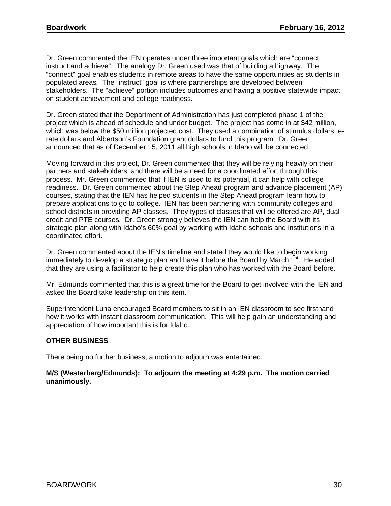Dr. Green commented the IEN operates under three important goals which are "connect, instruct and achieve". The analogy Dr. Green used was that of building a highway. The "connect" goal enables students in remote areas to have the same opportunities as students in populated areas*.* The "instruct" goal is where partnerships are developed between stakeholders. The "achieve" portion includes outcomes and having a positive statewide impact on student achievement and college readiness.

Dr. Green stated that the Department of Administration has just completed phase 1 of the project which is ahead of schedule and under budget. The project has come in at \$42 million, which was below the \$50 million projected cost. They used a combination of stimulus dollars, erate dollars and Albertson's Foundation grant dollars to fund this program. Dr. Green announced that as of December 15, 2011 all high schools in Idaho will be connected.

Moving forward in this project, Dr. Green commented that they will be relying heavily on their partners and stakeholders, and there will be a need for a coordinated effort through this process. Mr. Green commented that if IEN is used to its potential, it can help with college readiness. Dr. Green commented about the Step Ahead program and advance placement (AP) courses, stating that the IEN has helped students in the Step Ahead program learn how to prepare applications to go to college. IEN has been partnering with community colleges and school districts in providing AP classes. They types of classes that will be offered are AP, dual credit and PTE courses. Dr. Green strongly believes the IEN can help the Board with its strategic plan along with Idaho's 60% goal by working with Idaho schools and institutions in a coordinated effort.

Dr. Green commented about the IEN's timeline and stated they would like to begin working immediately to develop a strategic plan and have it before the Board by March  $1<sup>st</sup>$ . He added that they are using a facilitator to help create this plan who has worked with the Board before.

Mr. Edmunds commented that this is a great time for the Board to get involved with the IEN and asked the Board take leadership on this item.

Superintendent Luna encouraged Board members to sit in an IEN classroom to see firsthand how it works with instant classroom communication. This will help gain an understanding and appreciation of how important this is for Idaho.

# **OTHER BUSINESS**

There being no further business, a motion to adjourn was entertained.

# **M/S (Westerberg/Edmunds): To adjourn the meeting at 4:29 p.m. The motion carried unanimously.**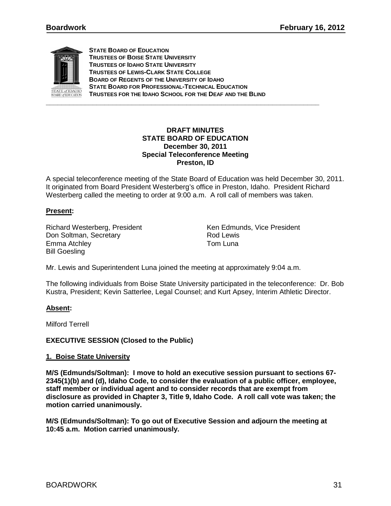

**STATE BOARD OF EDUCATION TRUSTEES OF BOISE STATE UNIVERSITY TRUSTEES OF IDAHO STATE UNIVERSITY TRUSTEES OF LEWIS-CLARK STATE COLLEGE BOARD OF REGENTS OF THE UNIVERSITY OF IDAHO STATE BOARD FOR PROFESSIONAL-TECHNICAL EDUCATION TRUSTEES FOR THE IDAHO SCHOOL FOR THE DEAF AND THE BLIND**

### **DRAFT MINUTES STATE BOARD OF EDUCATION December 30, 2011 Special Teleconference Meeting Preston, ID**

A special teleconference meeting of the State Board of Education was held December 30, 2011. It originated from Board President Westerberg's office in Preston, Idaho. President Richard Westerberg called the meeting to order at 9:00 a.m. A roll call of members was taken.

# **Present:**

Richard Westerberg, President Ken Edmunds, Vice President Don Soltman, Secretary Emma Atchley **Tom Luna** Bill Goesling

Mr. Lewis and Superintendent Luna joined the meeting at approximately 9:04 a.m.

The following individuals from Boise State University participated in the teleconference: Dr. Bob Kustra, President; Kevin Satterlee, Legal Counsel; and Kurt Apsey, Interim Athletic Director.

# **Absent:**

Milford Terrell

# **EXECUTIVE SESSION (Closed to the Public)**

# **1. Boise State University**

**M/S (Edmunds/Soltman): I move to hold an executive session pursuant to sections 67- 2345(1)(b) and (d), Idaho Code, to consider the evaluation of a public officer, employee, staff member or individual agent and to consider records that are exempt from disclosure as provided in Chapter 3, Title 9, Idaho Code. A roll call vote was taken; the motion carried unanimously.**

**M/S (Edmunds/Soltman): To go out of Executive Session and adjourn the meeting at 10:45 a.m. Motion carried unanimously.**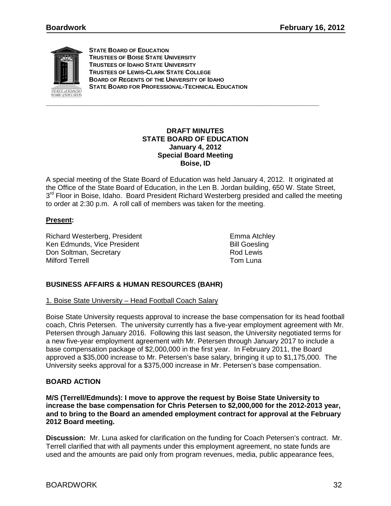

**STATE BOARD OF EDUCATION TRUSTEES OF BOISE STATE UNIVERSITY TRUSTEES OF IDAHO STATE UNIVERSITY TRUSTEES OF LEWIS-CLARK STATE COLLEGE BOARD OF REGENTS OF THE UNIVERSITY OF IDAHO STATE BOARD FOR PROFESSIONAL-TECHNICAL EDUCATION**

### **DRAFT MINUTES STATE BOARD OF EDUCATION January 4, 2012 Special Board Meeting Boise, ID**

A special meeting of the State Board of Education was held January 4, 2012. It originated at the Office of the State Board of Education, in the Len B. Jordan building, 650 W. State Street, 3<sup>rd</sup> Floor in Boise, Idaho. Board President Richard Westerberg presided and called the meeting to order at 2:30 p.m. A roll call of members was taken for the meeting.

# **Present:**

Richard Westerberg, President Emma Atchley Ken Edmunds, Vice President Bill Goesling Don Soltman, Secretary **Rod Lewis**<br>Milford Terrell **Rod Lewis** Milford Terrell Milford Terrell

# **BUSINESS AFFAIRS & HUMAN RESOURCES (BAHR)**

1. Boise State University – Head Football Coach Salary

Boise State University requests approval to increase the base compensation for its head football coach, Chris Petersen. The university currently has a five-year employment agreement with Mr. Petersen through January 2016. Following this last season, the University negotiated terms for a new five-year employment agreement with Mr. Petersen through January 2017 to include a base compensation package of \$2,000,000 in the first year. In February 2011, the Board approved a \$35,000 increase to Mr. Petersen's base salary, bringing it up to \$1,175,000. The University seeks approval for a \$375,000 increase in Mr. Petersen's base compensation.

# **BOARD ACTION**

**M/S (Terrell/Edmunds): I move to approve the request by Boise State University to increase the base compensation for Chris Petersen to \$2,000,000 for the 2012-2013 year, and to bring to the Board an amended employment contract for approval at the February 2012 Board meeting.** 

**Discussion:** Mr. Luna asked for clarification on the funding for Coach Petersen's contract. Mr. Terrell clarified that with all payments under this employment agreement, no state funds are used and the amounts are paid only from program revenues, media, public appearance fees,